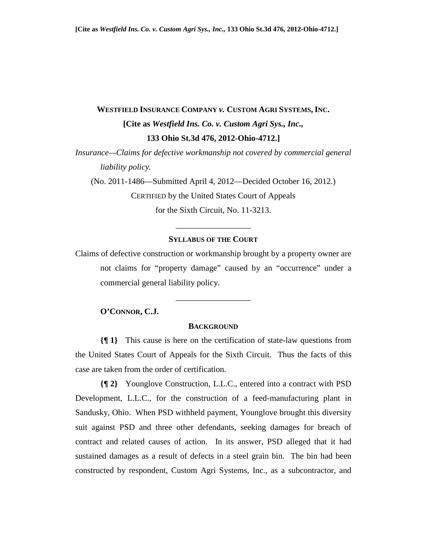# **WESTFIELD INSURANCE COMPANY** *v.* **CUSTOM AGRI SYSTEMS, INC. [Cite as** *Westfield Ins. Co. v. Custom Agri Sys., Inc.,* **133 Ohio St.3d 476, 2012-Ohio-4712.]**

*Insurance—Claims for defective workmanship not covered by commercial general liability policy.* 

(No. 2011-1486—Submitted April 4, 2012—Decided October 16, 2012.) CERTIFIED by the United States Court of Appeals for the Sixth Circuit, No. 11-3213.

# **SYLLABUS OF THE COURT**

\_\_\_\_\_\_\_\_\_\_\_\_\_\_\_\_\_\_

Claims of defective construction or workmanship brought by a property owner are not claims for "property damage" caused by an "occurrence" under a commercial general liability policy.

### **O'CONNOR, C.J.**

#### **BACKGROUND**

\_\_\_\_\_\_\_\_\_\_\_\_\_\_\_\_\_\_

**{¶ 1}** This cause is here on the certification of state-law questions from the United States Court of Appeals for the Sixth Circuit. Thus the facts of this case are taken from the order of certification.

**{¶ 2}** Younglove Construction, L.L.C., entered into a contract with PSD Development, L.L.C., for the construction of a feed-manufacturing plant in Sandusky, Ohio. When PSD withheld payment, Younglove brought this diversity suit against PSD and three other defendants, seeking damages for breach of contract and related causes of action. In its answer, PSD alleged that it had sustained damages as a result of defects in a steel grain bin. The bin had been constructed by respondent, Custom Agri Systems, Inc., as a subcontractor, and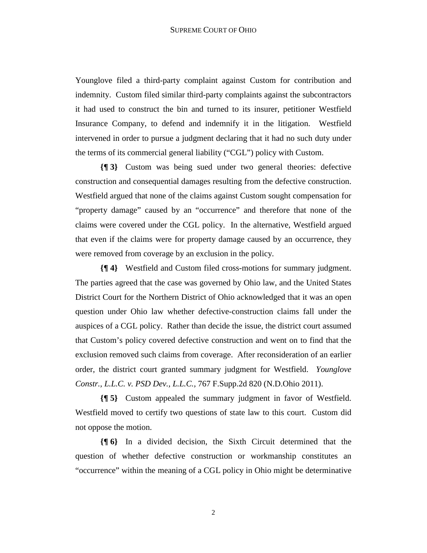Younglove filed a third-party complaint against Custom for contribution and indemnity. Custom filed similar third-party complaints against the subcontractors it had used to construct the bin and turned to its insurer, petitioner Westfield Insurance Company, to defend and indemnify it in the litigation. Westfield intervened in order to pursue a judgment declaring that it had no such duty under the terms of its commercial general liability ("CGL") policy with Custom.

**{¶ 3}** Custom was being sued under two general theories: defective construction and consequential damages resulting from the defective construction. Westfield argued that none of the claims against Custom sought compensation for "property damage" caused by an "occurrence" and therefore that none of the claims were covered under the CGL policy. In the alternative, Westfield argued that even if the claims were for property damage caused by an occurrence, they were removed from coverage by an exclusion in the policy.

**{¶ 4}** Westfield and Custom filed cross-motions for summary judgment. The parties agreed that the case was governed by Ohio law, and the United States District Court for the Northern District of Ohio acknowledged that it was an open question under Ohio law whether defective-construction claims fall under the auspices of a CGL policy. Rather than decide the issue, the district court assumed that Custom's policy covered defective construction and went on to find that the exclusion removed such claims from coverage. After reconsideration of an earlier order, the district court granted summary judgment for Westfield. *Younglove Constr., L.L.C. v. PSD Dev., L.L.C.,* 767 F.Supp.2d 820 (N.D.Ohio 2011).

**{¶ 5}** Custom appealed the summary judgment in favor of Westfield. Westfield moved to certify two questions of state law to this court. Custom did not oppose the motion.

**{¶ 6}** In a divided decision, the Sixth Circuit determined that the question of whether defective construction or workmanship constitutes an "occurrence" within the meaning of a CGL policy in Ohio might be determinative

2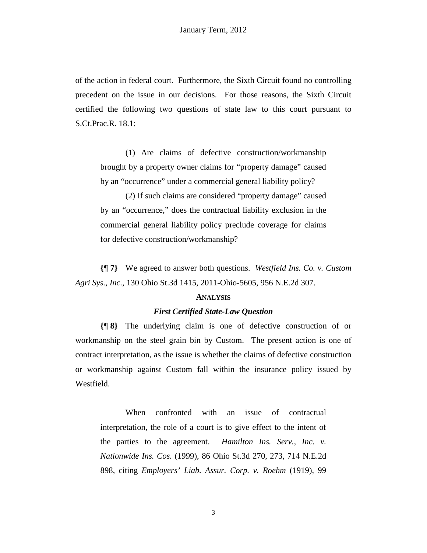of the action in federal court. Furthermore, the Sixth Circuit found no controlling precedent on the issue in our decisions. For those reasons, the Sixth Circuit certified the following two questions of state law to this court pursuant to S.Ct.Prac.R. 18.1:

(1) Are claims of defective construction/workmanship brought by a property owner claims for "property damage" caused by an "occurrence" under a commercial general liability policy?

(2) If such claims are considered "property damage" caused by an "occurrence," does the contractual liability exclusion in the commercial general liability policy preclude coverage for claims for defective construction/workmanship?

**{¶ 7}** We agreed to answer both questions. *Westfield Ins. Co. v. Custom Agri Sys., Inc.*, 130 Ohio St.3d 1415, 2011-Ohio-5605, 956 N.E.2d 307.

#### **ANALYSIS**

### *First Certified State-Law Question*

**{¶ 8}** The underlying claim is one of defective construction of or workmanship on the steel grain bin by Custom. The present action is one of contract interpretation, as the issue is whether the claims of defective construction or workmanship against Custom fall within the insurance policy issued by Westfield.

When confronted with an issue of contractual interpretation, the role of a court is to give effect to the intent of the parties to the agreement. *Hamilton Ins. Serv., Inc. v. Nationwide Ins. Cos.* (1999), 86 Ohio St.3d 270, 273, 714 N.E.2d 898, citing *Employers' Liab. Assur. Corp. v. Roehm* (1919), 99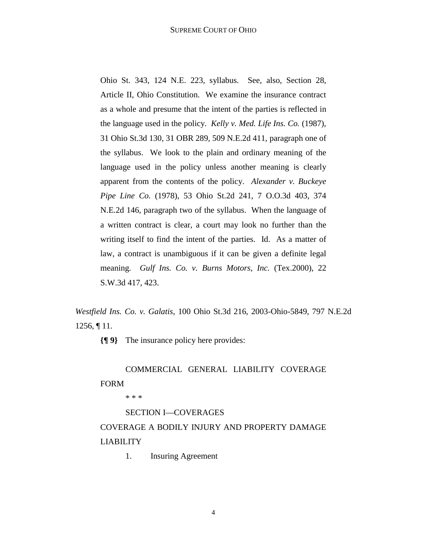Ohio St. 343, 124 N.E. 223, syllabus. See, also, Section 28, Article II, Ohio Constitution. We examine the insurance contract as a whole and presume that the intent of the parties is reflected in the language used in the policy. *Kelly v. Med. Life Ins. Co.* (1987), 31 Ohio St.3d 130, 31 OBR 289, 509 N.E.2d 411, paragraph one of the syllabus. We look to the plain and ordinary meaning of the language used in the policy unless another meaning is clearly apparent from the contents of the policy. *Alexander v. Buckeye Pipe Line Co.* (1978), 53 Ohio St.2d 241, 7 O.O.3d 403, 374 N.E.2d 146, paragraph two of the syllabus. When the language of a written contract is clear, a court may look no further than the writing itself to find the intent of the parties. Id. As a matter of law, a contract is unambiguous if it can be given a definite legal meaning. *Gulf Ins. Co. v. Burns Motors, Inc.* (Tex.2000), 22 S.W.3d 417, 423.

*Westfield Ins. Co. v. Galatis*, 100 Ohio St.3d 216, 2003-Ohio-5849, 797 N.E.2d 1256, ¶ 11.

**{¶ 9}** The insurance policy here provides:

# COMMERCIAL GENERAL LIABILITY COVERAGE FORM

\* \* \*

# SECTION I—COVERAGES

# COVERAGE A BODILY INJURY AND PROPERTY DAMAGE LIABILITY

1. Insuring Agreement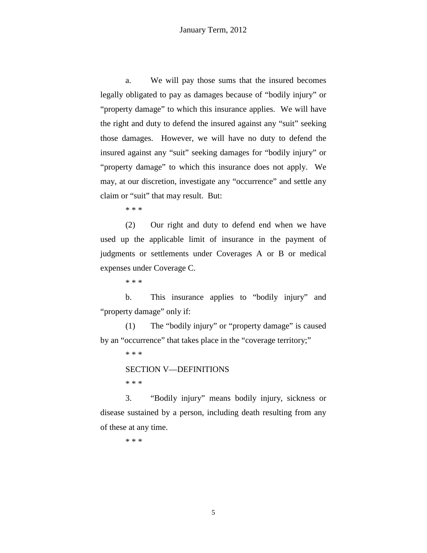a. We will pay those sums that the insured becomes legally obligated to pay as damages because of "bodily injury" or "property damage" to which this insurance applies. We will have the right and duty to defend the insured against any "suit" seeking those damages. However, we will have no duty to defend the insured against any "suit" seeking damages for "bodily injury" or "property damage" to which this insurance does not apply. We may, at our discretion, investigate any "occurrence" and settle any claim or "suit" that may result. But:

\* \* \*

 (2) Our right and duty to defend end when we have used up the applicable limit of insurance in the payment of judgments or settlements under Coverages A or B or medical expenses under Coverage C.

\* \* \*

 b. This insurance applies to "bodily injury" and "property damage" only if:

 (1) The "bodily injury" or "property damage" is caused by an "occurrence" that takes place in the "coverage territory;"

\* \* \*

SECTION V—DEFINITIONS

\* \* \*

3. "Bodily injury" means bodily injury, sickness or disease sustained by a person, including death resulting from any of these at any time.

\* \* \*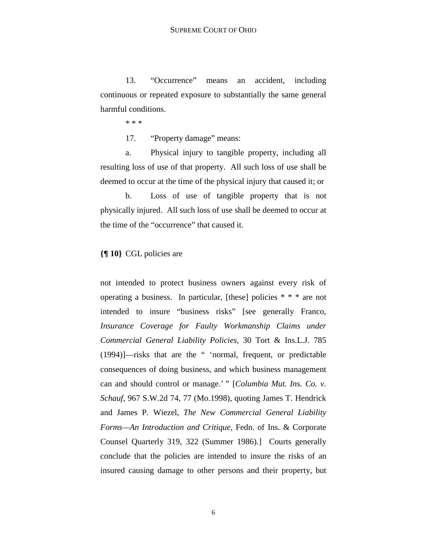13. "Occurrence" means an accident, including continuous or repeated exposure to substantially the same general harmful conditions.

\* \* \*

17. "Property damage" means:

 a. Physical injury to tangible property, including all resulting loss of use of that property. All such loss of use shall be deemed to occur at the time of the physical injury that caused it; or

 b. Loss of use of tangible property that is not physically injured. All such loss of use shall be deemed to occur at the time of the "occurrence" that caused it.

# **{¶ 10}** CGL policies are

not intended to protect business owners against every risk of operating a business. In particular, [these] policies \* \* \* are not intended to insure "business risks" [see generally Franco, *Insurance Coverage for Faulty Workmanship Claims under Commercial General Liability Policies*, 30 Tort & Ins.L.J. 785 (1994)]—risks that are the " 'normal, frequent, or predictable consequences of doing business, and which business management can and should control or manage.' " [*Columbia Mut. Ins. Co. v. Schauf*, 967 S.W.2d 74, 77 (Mo.1998), quoting James T. Hendrick and James P. Wiezel, *The New Commercial General Liability Forms—An Introduction and Critique,* Fedn. of Ins. & Corporate Counsel Quarterly 319, 322 (Summer 1986).] Courts generally conclude that the policies are intended to insure the risks of an insured causing damage to other persons and their property, but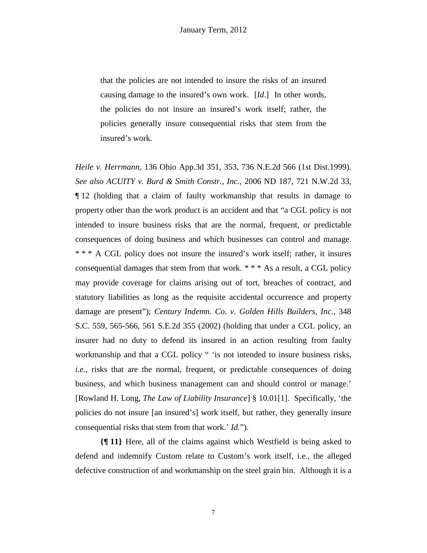that the policies are not intended to insure the risks of an insured causing damage to the insured's own work. [*Id*.] In other words, the policies do not insure an insured's work itself; rather, the policies generally insure consequential risks that stem from the insured's work.

*Heile v. Herrmann*, 136 Ohio App.3d 351, 353, 736 N.E.2d 566 (1st Dist.1999). *See also ACUITY v. Burd & Smith Constr., Inc.*, 2006 ND 187, 721 N.W.2d 33, ¶ 12 (holding that a claim of faulty workmanship that results in damage to property other than the work product is an accident and that "a CGL policy is not intended to insure business risks that are the normal, frequent, or predictable consequences of doing business and which businesses can control and manage. \* \* \* A CGL policy does not insure the insured's work itself; rather, it insures consequential damages that stem from that work. \* \* \* As a result, a CGL policy may provide coverage for claims arising out of tort, breaches of contract, and statutory liabilities as long as the requisite accidental occurrence and property damage are present"); *Century Indemn. Co. v. Golden Hills Builders, Inc.*, 348 S.C. 559, 565-566, 561 S.E.2d 355 (2002) (holding that under a CGL policy, an insurer had no duty to defend its insured in an action resulting from faulty workmanship and that a CGL policy " 'is not intended to insure business risks, *i.e.*, risks that are the normal, frequent, or predictable consequences of doing business, and which business management can and should control or manage.' [Rowland H. Long, *The Law of Liability Insurance*] § 10.01[1]. Specifically, 'the policies do not insure [an insured's] work itself, but rather, they generally insure consequential risks that stem from that work.' *Id.*").

**{¶ 11}** Here, all of the claims against which Westfield is being asked to defend and indemnify Custom relate to Custom's work itself, i.e., the alleged defective construction of and workmanship on the steel grain bin. Although it is a

7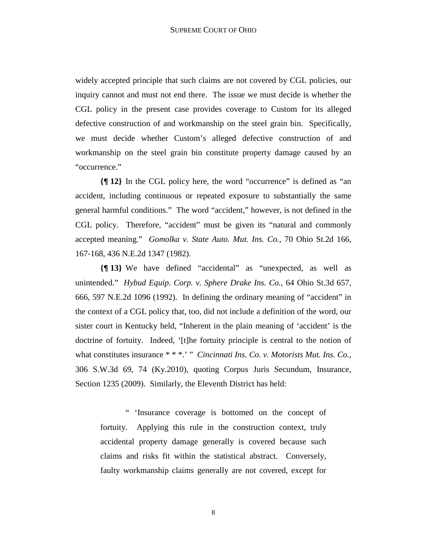widely accepted principle that such claims are not covered by CGL policies, our inquiry cannot and must not end there. The issue we must decide is whether the CGL policy in the present case provides coverage to Custom for its alleged defective construction of and workmanship on the steel grain bin. Specifically, we must decide whether Custom's alleged defective construction of and workmanship on the steel grain bin constitute property damage caused by an "occurrence."

**{¶ 12}** In the CGL policy here, the word "occurrence" is defined as "an accident, including continuous or repeated exposure to substantially the same general harmful conditions." The word "accident," however, is not defined in the CGL policy. Therefore, "accident" must be given its "natural and commonly accepted meaning." *Gomolka v. State Auto. Mut. Ins. Co.*, 70 Ohio St.2d 166, 167-168, 436 N.E.2d 1347 (1982).

**{¶ 13}** We have defined "accidental" as "unexpected, as well as unintended." *Hybud Equip. Corp. v. Sphere Drake Ins. Co.*, 64 Ohio St.3d 657, 666, 597 N.E.2d 1096 (1992). In defining the ordinary meaning of "accident" in the context of a CGL policy that, too, did not include a definition of the word, our sister court in Kentucky held, "Inherent in the plain meaning of 'accident' is the doctrine of fortuity. Indeed, '[t]he fortuity principle is central to the notion of what constitutes insurance \* \* \*.' " *Cincinnati Ins. Co. v. Motorists Mut. Ins. Co.*, 306 S.W.3d 69, 74 (Ky.2010), quoting Corpus Juris Secundum, Insurance, Section 1235 (2009). Similarly, the Eleventh District has held:

" 'Insurance coverage is bottomed on the concept of fortuity. Applying this rule in the construction context, truly accidental property damage generally is covered because such claims and risks fit within the statistical abstract. Conversely, faulty workmanship claims generally are not covered, except for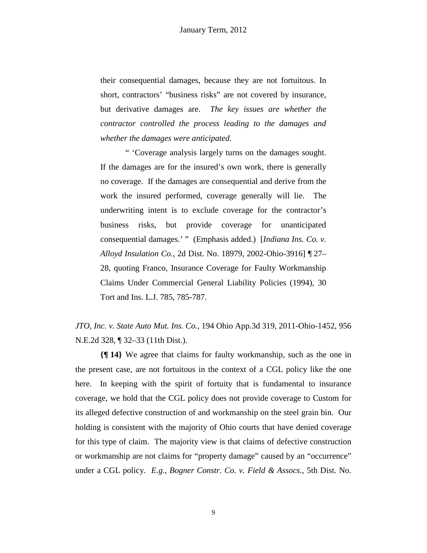their consequential damages, because they are not fortuitous. In short, contractors' "business risks" are not covered by insurance, but derivative damages are. *The key issues are whether the contractor controlled the process leading to the damages and whether the damages were anticipated.* 

" 'Coverage analysis largely turns on the damages sought. If the damages are for the insured's own work, there is generally no coverage. If the damages are consequential and derive from the work the insured performed, coverage generally will lie. The underwriting intent is to exclude coverage for the contractor's business risks, but provide coverage for unanticipated consequential damages.' " (Emphasis added.) [*Indiana Ins. Co. v. Alloyd Insulation Co.*, 2d Dist. No. 18979, 2002-Ohio-3916] ¶ 27– 28, quoting Franco, Insurance Coverage for Faulty Workmanship Claims Under Commercial General Liability Policies (1994), 30 Tort and Ins. L.J. 785, 785-787.

*JTO, Inc. v. State Auto Mut. Ins. Co.*, 194 Ohio App.3d 319, 2011-Ohio-1452, 956 N.E.2d 328, ¶ 32–33 (11th Dist.).

**{¶ 14}** We agree that claims for faulty workmanship, such as the one in the present case, are not fortuitous in the context of a CGL policy like the one here. In keeping with the spirit of fortuity that is fundamental to insurance coverage, we hold that the CGL policy does not provide coverage to Custom for its alleged defective construction of and workmanship on the steel grain bin. Our holding is consistent with the majority of Ohio courts that have denied coverage for this type of claim. The majority view is that claims of defective construction or workmanship are not claims for "property damage" caused by an "occurrence" under a CGL policy. *E.g.*, *Bogner Constr. Co. v. Field & Assocs.*, 5th Dist. No.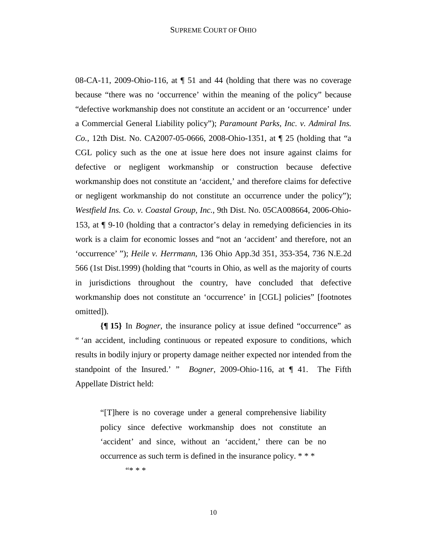08-CA-11, 2009-Ohio-116, at ¶ 51 and 44 (holding that there was no coverage because "there was no 'occurrence' within the meaning of the policy" because "defective workmanship does not constitute an accident or an 'occurrence' under a Commercial General Liability policy"); *Paramount Parks, Inc. v. Admiral Ins. Co.*, 12th Dist. No. CA2007-05-0666, 2008-Ohio-1351, at ¶ 25 (holding that "a CGL policy such as the one at issue here does not insure against claims for defective or negligent workmanship or construction because defective workmanship does not constitute an 'accident,' and therefore claims for defective or negligent workmanship do not constitute an occurrence under the policy"); *Westfield Ins. Co. v. Coastal Group, Inc.*, 9th Dist. No. 05CA008664, 2006-Ohio-153, at ¶ 9-10 (holding that a contractor's delay in remedying deficiencies in its work is a claim for economic losses and "not an 'accident' and therefore, not an 'occurrence' "); *Heile v. Herrmann*, 136 Ohio App.3d 351, 353-354, 736 N.E.2d 566 (1st Dist.1999) (holding that "courts in Ohio, as well as the majority of courts in jurisdictions throughout the country, have concluded that defective workmanship does not constitute an 'occurrence' in [CGL] policies" [footnotes omitted]).

**{¶ 15}** In *Bogner*, the insurance policy at issue defined "occurrence" as " 'an accident, including continuous or repeated exposure to conditions, which results in bodily injury or property damage neither expected nor intended from the standpoint of the Insured.' " *Bogner*, 2009-Ohio-116, at ¶ 41. The Fifth Appellate District held:

"[T]here is no coverage under a general comprehensive liability policy since defective workmanship does not constitute an 'accident' and since, without an 'accident,' there can be no occurrence as such term is defined in the insurance policy. \* \* \*

"\* \* \*

10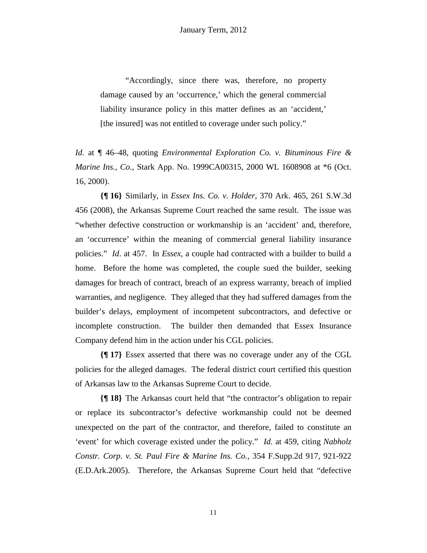"Accordingly, since there was, therefore, no property damage caused by an 'occurrence,' which the general commercial liability insurance policy in this matter defines as an 'accident,' [the insured] was not entitled to coverage under such policy."

*Id*. at ¶ 46–48, quoting *Environmental Exploration Co. v. Bituminous Fire & Marine Ins., Co.*, Stark App. No. 1999CA00315, 2000 WL 1608908 at \*6 (Oct. 16, 2000).

**{¶ 16}** Similarly, in *Essex Ins. Co. v. Holder*, 370 Ark. 465, 261 S.W.3d 456 (2008), the Arkansas Supreme Court reached the same result. The issue was "whether defective construction or workmanship is an 'accident' and, therefore, an 'occurrence' within the meaning of commercial general liability insurance policies." *Id*. at 457. In *Essex*, a couple had contracted with a builder to build a home. Before the home was completed, the couple sued the builder, seeking damages for breach of contract, breach of an express warranty, breach of implied warranties, and negligence. They alleged that they had suffered damages from the builder's delays, employment of incompetent subcontractors, and defective or incomplete construction. The builder then demanded that Essex Insurance Company defend him in the action under his CGL policies.

**{¶ 17}** Essex asserted that there was no coverage under any of the CGL policies for the alleged damages. The federal district court certified this question of Arkansas law to the Arkansas Supreme Court to decide.

**{¶ 18}** The Arkansas court held that "the contractor's obligation to repair or replace its subcontractor's defective workmanship could not be deemed unexpected on the part of the contractor, and therefore, failed to constitute an 'event' for which coverage existed under the policy." *Id*. at 459, citing *Nabholz Constr. Corp. v. St. Paul Fire & Marine Ins. Co.*, 354 F.Supp.2d 917, 921-922 (E.D.Ark.2005). Therefore, the Arkansas Supreme Court held that "defective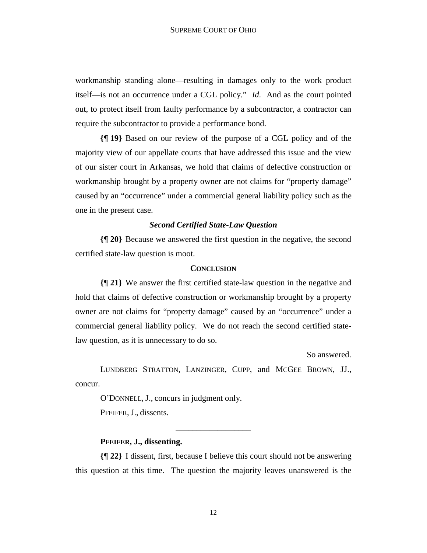workmanship standing alone—resulting in damages only to the work product itself—is not an occurrence under a CGL policy." *Id*. And as the court pointed out, to protect itself from faulty performance by a subcontractor, a contractor can require the subcontractor to provide a performance bond.

**{¶ 19}** Based on our review of the purpose of a CGL policy and of the majority view of our appellate courts that have addressed this issue and the view of our sister court in Arkansas, we hold that claims of defective construction or workmanship brought by a property owner are not claims for "property damage" caused by an "occurrence" under a commercial general liability policy such as the one in the present case.

### *Second Certified State-Law Question*

**{¶ 20}** Because we answered the first question in the negative, the second certified state-law question is moot.

### **CONCLUSION**

**{¶ 21}** We answer the first certified state-law question in the negative and hold that claims of defective construction or workmanship brought by a property owner are not claims for "property damage" caused by an "occurrence" under a commercial general liability policy. We do not reach the second certified statelaw question, as it is unnecessary to do so.

So answered.

LUNDBERG STRATTON, LANZINGER, CUPP, and MCGEE BROWN, JJ., concur.

O'DONNELL, J., concurs in judgment only. PFEIFER, J., dissents.

### **PFEIFER, J., dissenting.**

**{¶ 22}** I dissent, first, because I believe this court should not be answering this question at this time. The question the majority leaves unanswered is the

\_\_\_\_\_\_\_\_\_\_\_\_\_\_\_\_\_\_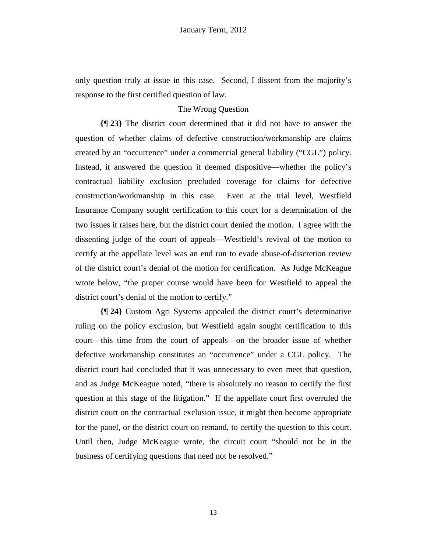only question truly at issue in this case. Second, I dissent from the majority's response to the first certified question of law.

# The Wrong Question

**{¶ 23}** The district court determined that it did not have to answer the question of whether claims of defective construction/workmanship are claims created by an "occurrence" under a commercial general liability ("CGL") policy. Instead, it answered the question it deemed dispositive—whether the policy's contractual liability exclusion precluded coverage for claims for defective construction/workmanship in this case. Even at the trial level, Westfield Insurance Company sought certification to this court for a determination of the two issues it raises here, but the district court denied the motion. I agree with the dissenting judge of the court of appeals—Westfield's revival of the motion to certify at the appellate level was an end run to evade abuse-of-discretion review of the district court's denial of the motion for certification. As Judge McKeague wrote below, "the proper course would have been for Westfield to appeal the district court's denial of the motion to certify."

**{¶ 24}** Custom Agri Systems appealed the district court's determinative ruling on the policy exclusion, but Westfield again sought certification to this court—this time from the court of appeals—on the broader issue of whether defective workmanship constitutes an "occurrence" under a CGL policy. The district court had concluded that it was unnecessary to even meet that question, and as Judge McKeague noted, "there is absolutely no reason to certify the first question at this stage of the litigation." If the appellate court first overruled the district court on the contractual exclusion issue, it might then become appropriate for the panel, or the district court on remand, to certify the question to this court. Until then, Judge McKeague wrote, the circuit court "should not be in the business of certifying questions that need not be resolved."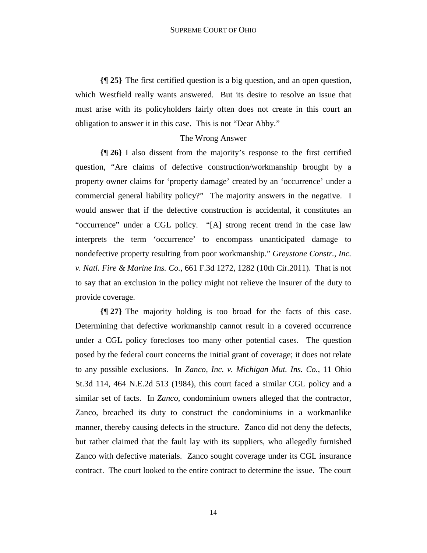**{¶ 25}** The first certified question is a big question, and an open question, which Westfield really wants answered. But its desire to resolve an issue that must arise with its policyholders fairly often does not create in this court an obligation to answer it in this case. This is not "Dear Abby."

### The Wrong Answer

**{¶ 26}** I also dissent from the majority's response to the first certified question, "Are claims of defective construction/workmanship brought by a property owner claims for 'property damage' created by an 'occurrence' under a commercial general liability policy?" The majority answers in the negative. I would answer that if the defective construction is accidental, it constitutes an "occurrence" under a CGL policy. "[A] strong recent trend in the case law interprets the term 'occurrence' to encompass unanticipated damage to nondefective property resulting from poor workmanship." *Greystone Constr., Inc. v. Natl. Fire & Marine Ins. Co.*, 661 F.3d 1272, 1282 (10th Cir.2011). That is not to say that an exclusion in the policy might not relieve the insurer of the duty to provide coverage.

**{¶ 27}** The majority holding is too broad for the facts of this case. Determining that defective workmanship cannot result in a covered occurrence under a CGL policy forecloses too many other potential cases. The question posed by the federal court concerns the initial grant of coverage; it does not relate to any possible exclusions. In *Zanco, Inc. v. Michigan Mut. Ins. Co.*, 11 Ohio St.3d 114, 464 N.E.2d 513 (1984), this court faced a similar CGL policy and a similar set of facts. In *Zanco*, condominium owners alleged that the contractor, Zanco, breached its duty to construct the condominiums in a workmanlike manner, thereby causing defects in the structure. Zanco did not deny the defects, but rather claimed that the fault lay with its suppliers, who allegedly furnished Zanco with defective materials. Zanco sought coverage under its CGL insurance contract. The court looked to the entire contract to determine the issue. The court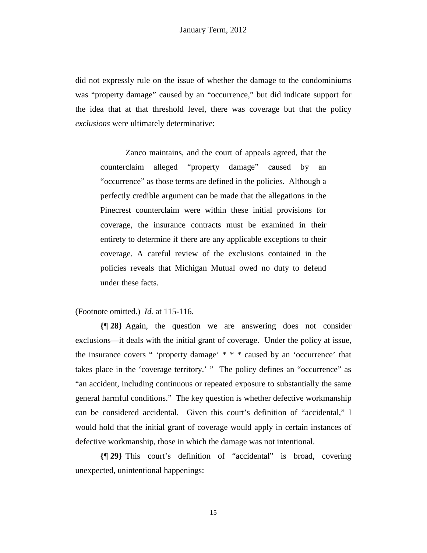did not expressly rule on the issue of whether the damage to the condominiums was "property damage" caused by an "occurrence," but did indicate support for the idea that at that threshold level, there was coverage but that the policy *exclusions* were ultimately determinative:

Zanco maintains, and the court of appeals agreed, that the counterclaim alleged "property damage" caused by an "occurrence" as those terms are defined in the policies. Although a perfectly credible argument can be made that the allegations in the Pinecrest counterclaim were within these initial provisions for coverage, the insurance contracts must be examined in their entirety to determine if there are any applicable exceptions to their coverage. A careful review of the exclusions contained in the policies reveals that Michigan Mutual owed no duty to defend under these facts.

(Footnote omitted.) *Id.* at 115-116.

**{¶ 28}** Again, the question we are answering does not consider exclusions—it deals with the initial grant of coverage. Under the policy at issue, the insurance covers " 'property damage' \* \* \* caused by an 'occurrence' that takes place in the 'coverage territory.' " The policy defines an "occurrence" as "an accident, including continuous or repeated exposure to substantially the same general harmful conditions." The key question is whether defective workmanship can be considered accidental. Given this court's definition of "accidental," I would hold that the initial grant of coverage would apply in certain instances of defective workmanship, those in which the damage was not intentional.

**{¶ 29}** This court's definition of "accidental" is broad, covering unexpected, unintentional happenings: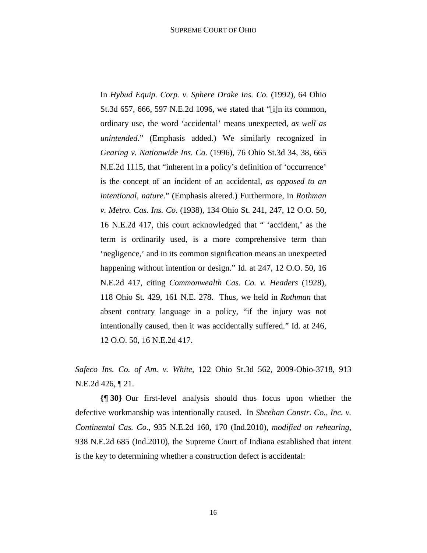In *Hybud Equip. Corp. v. Sphere Drake Ins. Co.* (1992), 64 Ohio St.3d 657, 666, 597 N.E.2d 1096, we stated that "[i]n its common, ordinary use, the word 'accidental' means unexpected, *as well as unintended*." (Emphasis added.) We similarly recognized in *Gearing v. Nationwide Ins. Co*. (1996), 76 Ohio St.3d 34, 38, 665 N.E.2d 1115, that "inherent in a policy's definition of 'occurrence' is the concept of an incident of an accidental, *as opposed to an intentional, nature*." (Emphasis altered.) Furthermore, in *Rothman v. Metro. Cas. Ins. Co*. (1938), 134 Ohio St. 241, 247, 12 O.O. 50, 16 N.E.2d 417, this court acknowledged that " 'accident,' as the term is ordinarily used, is a more comprehensive term than 'negligence,' and in its common signification means an unexpected happening without intention or design." Id. at 247, 12 O.O. 50, 16 N.E.2d 417, citing *Commonwealth Cas. Co. v. Headers* (1928), 118 Ohio St. 429, 161 N.E. 278. Thus, we held in *Rothman* that absent contrary language in a policy, "if the injury was not intentionally caused, then it was accidentally suffered." Id. at 246, 12 O.O. 50, 16 N.E.2d 417.

*Safeco Ins. Co. of Am. v. White*, 122 Ohio St.3d 562, 2009-Ohio-3718, 913 N.E.2d 426, ¶ 21.

**{¶ 30}** Our first-level analysis should thus focus upon whether the defective workmanship was intentionally caused. In *Sheehan Constr. Co., Inc. v. Continental Cas. Co.*, 935 N.E.2d 160, 170 (Ind.2010), *modified on rehearing,* 938 N.E.2d 685 (Ind.2010), the Supreme Court of Indiana established that intent is the key to determining whether a construction defect is accidental: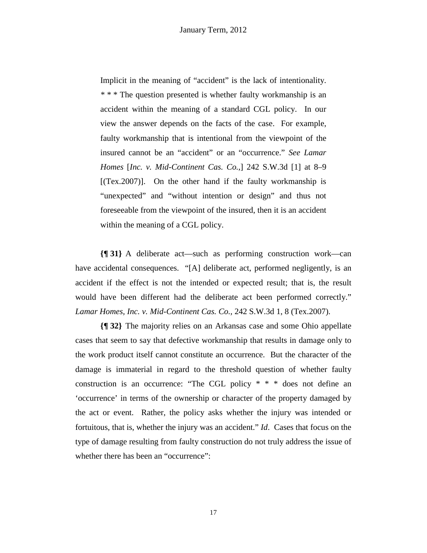Implicit in the meaning of "accident" is the lack of intentionality. *\* \* \** The question presented is whether faulty workmanship is an accident within the meaning of a standard CGL policy. In our view the answer depends on the facts of the case. For example, faulty workmanship that is intentional from the viewpoint of the insured cannot be an "accident" or an "occurrence." *See Lamar Homes* [*Inc. v. Mid-Continent Cas. Co.,*] 242 S.W.3d [1] at 8–9  $[(Tex.2007)]$ . On the other hand if the faulty workmanship is "unexpected" and "without intention or design" and thus not foreseeable from the viewpoint of the insured, then it is an accident within the meaning of a CGL policy.

**{¶ 31}** A deliberate act—such as performing construction work—can have accidental consequences. "[A] deliberate act, performed negligently, is an accident if the effect is not the intended or expected result; that is, the result would have been different had the deliberate act been performed correctly." *Lamar Homes, Inc. v. Mid-Continent Cas. Co.,* 242 S.W.3d 1, 8 (Tex.2007).

**{¶ 32}** The majority relies on an Arkansas case and some Ohio appellate cases that seem to say that defective workmanship that results in damage only to the work product itself cannot constitute an occurrence. But the character of the damage is immaterial in regard to the threshold question of whether faulty construction is an occurrence: "The CGL policy \* \* \* does not define an 'occurrence' in terms of the ownership or character of the property damaged by the act or event. Rather, the policy asks whether the injury was intended or fortuitous, that is, whether the injury was an accident." *Id*. Cases that focus on the type of damage resulting from faulty construction do not truly address the issue of whether there has been an "occurrence":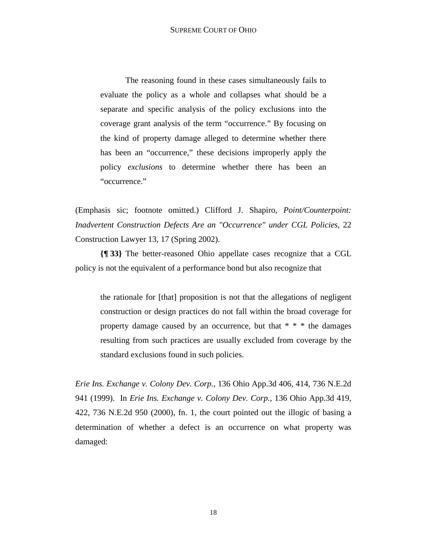The reasoning found in these cases simultaneously fails to evaluate the policy as a whole and collapses what should be a separate and specific analysis of the policy exclusions into the coverage grant analysis of the term "occurrence." By focusing on the kind of property damage alleged to determine whether there has been an "occurrence," these decisions improperly apply the policy *exclusions* to determine whether there has been an "occurrence."

(Emphasis sic; footnote omitted.) Clifford J. Shapiro, *Point/Counterpoint: Inadvertent Construction Defects Are an "Occurrence" under CGL Policies*, 22 Construction Lawyer 13, 17 (Spring 2002).

**{¶ 33}** The better-reasoned Ohio appellate cases recognize that a CGL policy is not the equivalent of a performance bond but also recognize that

the rationale for [that] proposition is not that the allegations of negligent construction or design practices do not fall within the broad coverage for property damage caused by an occurrence, but that \* \* \* the damages resulting from such practices are usually excluded from coverage by the standard exclusions found in such policies.

*Erie Ins. Exchange v. Colony Dev. Corp.*, 136 Ohio App.3d 406, 414, 736 N.E.2d 941 (1999). In *Erie Ins. Exchange v. Colony Dev. Corp.*, 136 Ohio App.3d 419, 422, 736 N.E.2d 950 (2000), fn. 1, the court pointed out the illogic of basing a determination of whether a defect is an occurrence on what property was damaged: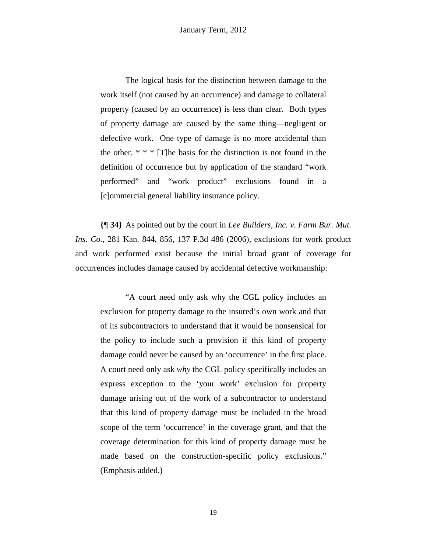The logical basis for the distinction between damage to the work itself (not caused by an occurrence) and damage to collateral property (caused by an occurrence) is less than clear. Both types of property damage are caused by the same thing—negligent or defective work. One type of damage is no more accidental than the other.  $* * * [T]$ he basis for the distinction is not found in the definition of occurrence but by application of the standard "work performed" and "work product" exclusions found in a [c]ommercial general liability insurance policy.

**{¶ 34}** As pointed out by the court in *Lee Builders, Inc. v. Farm Bur. Mut. Ins. Co.*, 281 Kan. 844, 856, 137 P.3d 486 (2006), exclusions for work product and work performed exist because the initial broad grant of coverage for occurrences includes damage caused by accidental defective workmanship:

 "A court need only ask why the CGL policy includes an exclusion for property damage to the insured's own work and that of its subcontractors to understand that it would be nonsensical for the policy to include such a provision if this kind of property damage could never be caused by an 'occurrence' in the first place. A court need only ask *why* the CGL policy specifically includes an express exception to the 'your work' exclusion for property damage arising out of the work of a subcontractor to understand that this kind of property damage must be included in the broad scope of the term 'occurrence' in the coverage grant, and that the coverage determination for this kind of property damage must be made based on the construction-specific policy exclusions." (Emphasis added.)